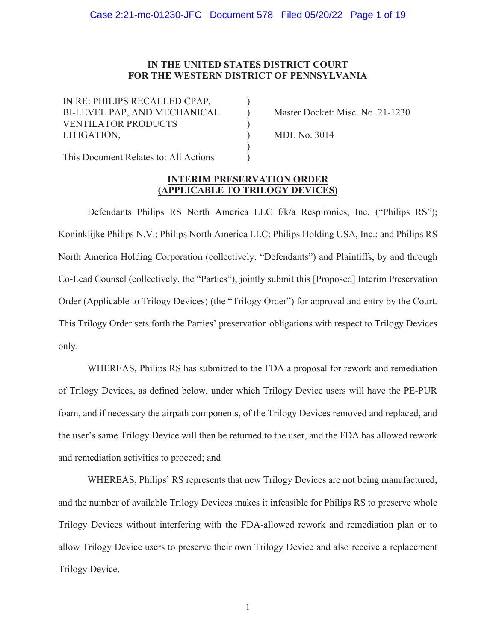## **IN THE UNITED STATES DISTRICT COURT FOR THE WESTERN DISTRICT OF PENNSYLVANIA**

) ) ) )  $\mathcal{L}$ )

IN RE: PHILIPS RECALLED CPAP, BI-LEVEL PAP, AND MECHANICAL VENTILATOR PRODUCTS LITIGATION,

Master Docket: Misc. No. 21-1230

MDL No. 3014

This Document Relates to: All Actions

## **INTERIM PRESERVATION ORDER (APPLICABLE TO TRILOGY DEVICES)**

Defendants Philips RS North America LLC f/k/a Respironics, Inc. ("Philips RS"); Koninklijke Philips N.V.; Philips North America LLC; Philips Holding USA, Inc.; and Philips RS North America Holding Corporation (collectively, "Defendants") and Plaintiffs, by and through Co-Lead Counsel (collectively, the "Parties"), jointly submit this [Proposed] Interim Preservation Order (Applicable to Trilogy Devices) (the "Trilogy Order") for approval and entry by the Court. This Trilogy Order sets forth the Parties' preservation obligations with respect to Trilogy Devices only.

WHEREAS, Philips RS has submitted to the FDA a proposal for rework and remediation of Trilogy Devices, as defined below, under which Trilogy Device users will have the PE-PUR foam, and if necessary the airpath components, of the Trilogy Devices removed and replaced, and the user's same Trilogy Device will then be returned to the user, and the FDA has allowed rework and remediation activities to proceed; and

WHEREAS, Philips' RS represents that new Trilogy Devices are not being manufactured, and the number of available Trilogy Devices makes it infeasible for Philips RS to preserve whole Trilogy Devices without interfering with the FDA-allowed rework and remediation plan or to allow Trilogy Device users to preserve their own Trilogy Device and also receive a replacement Trilogy Device.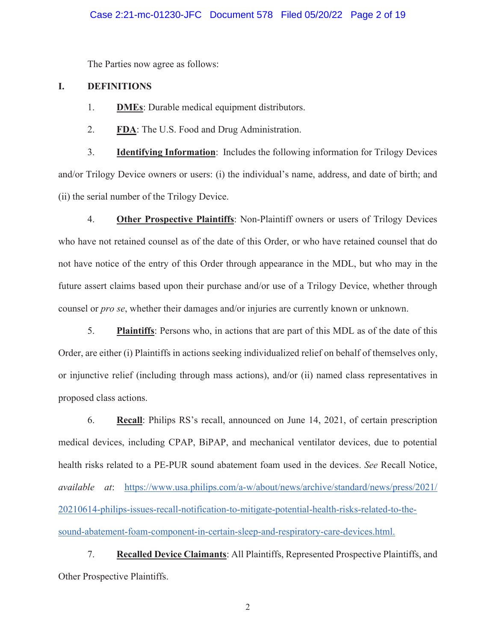## Case 2:21-mc-01230-JFC Document 578 Filed 05/20/22 Page 2 of 19

The Parties now agree as follows:

## **I. DEFINITIONS**

- 1. **DMEs**: Durable medical equipment distributors.
- 2. **FDA**: The U.S. Food and Drug Administration.

3. **Identifying Information**: Includes the following information for Trilogy Devices and/or Trilogy Device owners or users: (i) the individual's name, address, and date of birth; and (ii) the serial number of the Trilogy Device.

4. **Other Prospective Plaintiffs**: Non-Plaintiff owners or users of Trilogy Devices who have not retained counsel as of the date of this Order, or who have retained counsel that do not have notice of the entry of this Order through appearance in the MDL, but who may in the future assert claims based upon their purchase and/or use of a Trilogy Device, whether through counsel or *pro se*, whether their damages and/or injuries are currently known or unknown.

5. **Plaintiffs**: Persons who, in actions that are part of this MDL as of the date of this Order, are either (i) Plaintiffs in actions seeking individualized relief on behalf of themselves only, or injunctive relief (including through mass actions), and/or (ii) named class representatives in proposed class actions.

6. **Recall**: Philips RS's recall, announced on June 14, 2021, of certain prescription medical devices, including CPAP, BiPAP, and mechanical ventilator devices, due to potential health risks related to a PE-PUR sound abatement foam used in the devices. *See* Recall Notice, *available at*: https://www.usa.philips.com/a-w/about/news/archive/standard/news/press/2021/ 20210614-philips-issues-recall-notification-to-mitigate-potential-health-risks-related-to-thesound-abatement-foam-component-in-certain-sleep-and-respiratory-care-devices.html.

7. **Recalled Device Claimants**: All Plaintiffs, Represented Prospective Plaintiffs, and Other Prospective Plaintiffs.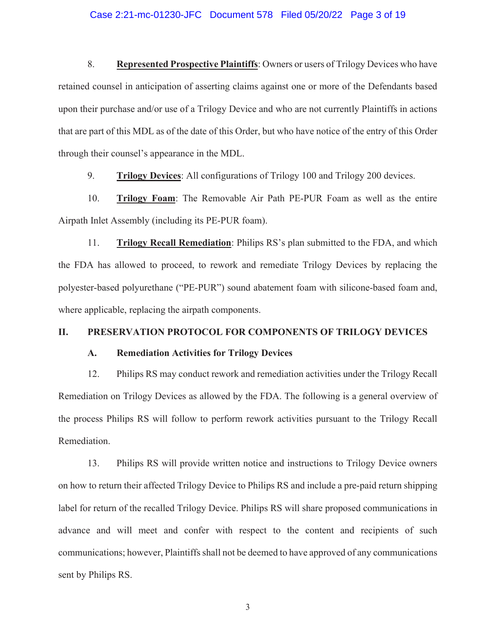### Case 2:21-mc-01230-JFC Document 578 Filed 05/20/22 Page 3 of 19

8. **Represented Prospective Plaintiffs**: Owners or users of Trilogy Devices who have retained counsel in anticipation of asserting claims against one or more of the Defendants based upon their purchase and/or use of a Trilogy Device and who are not currently Plaintiffs in actions that are part of this MDL as of the date of this Order, but who have notice of the entry of this Order through their counsel's appearance in the MDL.

9. **Trilogy Devices**: All configurations of Trilogy 100 and Trilogy 200 devices.

10. **Trilogy Foam**: The Removable Air Path PE-PUR Foam as well as the entire Airpath Inlet Assembly (including its PE-PUR foam).

11. **Trilogy Recall Remediation**: Philips RS's plan submitted to the FDA, and which the FDA has allowed to proceed, to rework and remediate Trilogy Devices by replacing the polyester-based polyurethane ("PE-PUR") sound abatement foam with silicone-based foam and, where applicable, replacing the airpath components.

### **II. PRESERVATION PROTOCOL FOR COMPONENTS OF TRILOGY DEVICES**

### **A. Remediation Activities for Trilogy Devices**

12. Philips RS may conduct rework and remediation activities under the Trilogy Recall Remediation on Trilogy Devices as allowed by the FDA. The following is a general overview of the process Philips RS will follow to perform rework activities pursuant to the Trilogy Recall Remediation.

13. Philips RS will provide written notice and instructions to Trilogy Device owners on how to return their affected Trilogy Device to Philips RS and include a pre-paid return shipping label for return of the recalled Trilogy Device. Philips RS will share proposed communications in advance and will meet and confer with respect to the content and recipients of such communications; however, Plaintiffs shall not be deemed to have approved of any communications sent by Philips RS.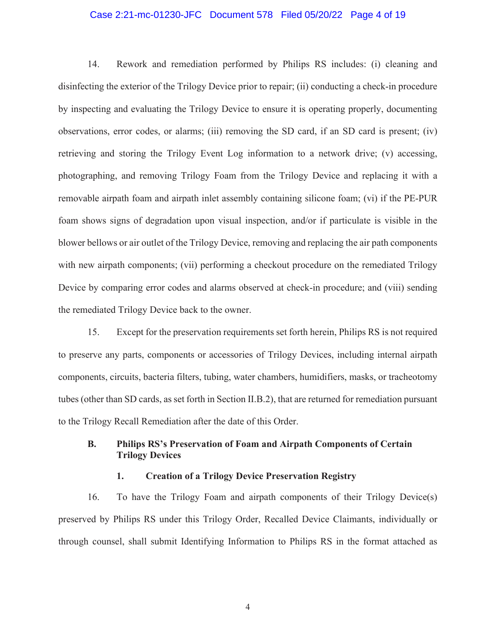### Case 2:21-mc-01230-JFC Document 578 Filed 05/20/22 Page 4 of 19

14. Rework and remediation performed by Philips RS includes: (i) cleaning and disinfecting the exterior of the Trilogy Device prior to repair; (ii) conducting a check-in procedure by inspecting and evaluating the Trilogy Device to ensure it is operating properly, documenting observations, error codes, or alarms; (iii) removing the SD card, if an SD card is present; (iv) retrieving and storing the Trilogy Event Log information to a network drive; (v) accessing, photographing, and removing Trilogy Foam from the Trilogy Device and replacing it with a removable airpath foam and airpath inlet assembly containing silicone foam; (vi) if the PE-PUR foam shows signs of degradation upon visual inspection, and/or if particulate is visible in the blower bellows or air outlet of the Trilogy Device, removing and replacing the air path components with new airpath components; (vii) performing a checkout procedure on the remediated Trilogy Device by comparing error codes and alarms observed at check-in procedure; and (viii) sending the remediated Trilogy Device back to the owner.

15. Except for the preservation requirements set forth herein, Philips RS is not required to preserve any parts, components or accessories of Trilogy Devices, including internal airpath components, circuits, bacteria filters, tubing, water chambers, humidifiers, masks, or tracheotomy tubes (other than SD cards, as set forth in Section II.B.2), that are returned for remediation pursuant to the Trilogy Recall Remediation after the date of this Order.

# **B. Philips RS's Preservation of Foam and Airpath Components of Certain Trilogy Devices**

## **1. Creation of a Trilogy Device Preservation Registry**

16. To have the Trilogy Foam and airpath components of their Trilogy Device(s) preserved by Philips RS under this Trilogy Order, Recalled Device Claimants, individually or through counsel, shall submit Identifying Information to Philips RS in the format attached as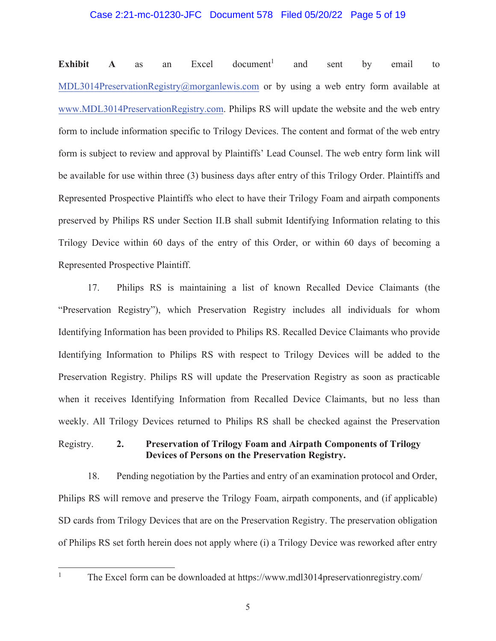### Case 2:21-mc-01230-JFC Document 578 Filed 05/20/22 Page 5 of 19

**Exhibit** A as an Excel document<sup>1</sup> and sent by email to MDL3014PreservationRegistry@morganlewis.com or by using a web entry form available at www.MDL3014PreservationRegistry.com. Philips RS will update the website and the web entry form to include information specific to Trilogy Devices. The content and format of the web entry form is subject to review and approval by Plaintiffs' Lead Counsel. The web entry form link will be available for use within three (3) business days after entry of this Trilogy Order. Plaintiffs and Represented Prospective Plaintiffs who elect to have their Trilogy Foam and airpath components preserved by Philips RS under Section II.B shall submit Identifying Information relating to this Trilogy Device within 60 days of the entry of this Order, or within 60 days of becoming a Represented Prospective Plaintiff.

17. Philips RS is maintaining a list of known Recalled Device Claimants (the "Preservation Registry"), which Preservation Registry includes all individuals for whom Identifying Information has been provided to Philips RS. Recalled Device Claimants who provide Identifying Information to Philips RS with respect to Trilogy Devices will be added to the Preservation Registry. Philips RS will update the Preservation Registry as soon as practicable when it receives Identifying Information from Recalled Device Claimants, but no less than weekly. All Trilogy Devices returned to Philips RS shall be checked against the Preservation

**2. Preservation of Trilogy Foam and Airpath Components of Trilogy Devices of Persons on the Preservation Registry.** Registry.

18. Pending negotiation by the Parties and entry of an examination protocol and Order, Philips RS will remove and preserve the Trilogy Foam, airpath components, and (if applicable) SD cards from Trilogy Devices that are on the Preservation Registry. The preservation obligation of Philips RS set forth herein does not apply where (i) a Trilogy Device was reworked after entry

<sup>&</sup>lt;sup>1</sup> The Excel form can be downloaded at https://www.mdl3014preservationregistry.com/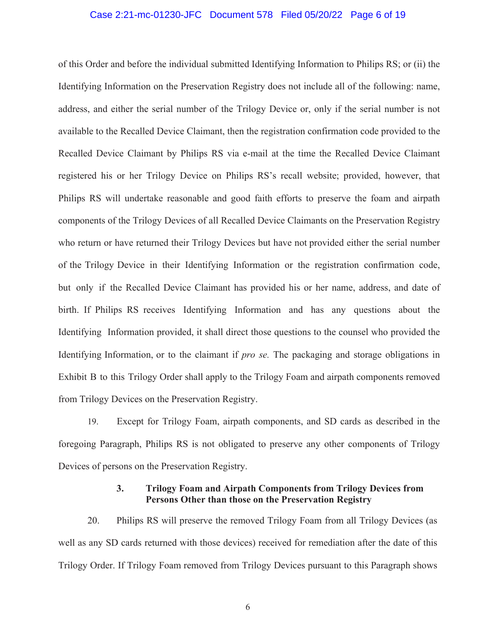### Case 2:21-mc-01230-JFC Document 578 Filed 05/20/22 Page 6 of 19

of this Order and before the individual submitted Identifying Information to Philips RS; or (ii) the Identifying Information on the Preservation Registry does not include all of the following: name, address, and either the serial number of the Trilogy Device or, only if the serial number is not available to the Recalled Device Claimant, then the registration confirmation code provided to the Recalled Device Claimant by Philips RS via e-mail at the time the Recalled Device Claimant registered his or her Trilogy Device on Philips RS's recall website; provided, however, that Philips RS will undertake reasonable and good faith efforts to preserve the foam and airpath components of the Trilogy Devices of all Recalled Device Claimants on the Preservation Registry who return or have returned their Trilogy Devices but have not provided either the serial number of the Trilogy Device in their Identifying Information or the registration confirmation code, but only if the Recalled Device Claimant has provided his or her name, address, and date of birth. If Philips RS receives Identifying Information and has any questions about the Identifying Information provided, it shall direct those questions to the counsel who provided the Identifying Information, or to the claimant if *pro se.* The packaging and storage obligations in Exhibit B to this Trilogy Order shall apply to the Trilogy Foam and airpath components removed from Trilogy Devices on the Preservation Registry.

19. Except for Trilogy Foam, airpath components, and SD cards as described in the foregoing Paragraph, Philips RS is not obligated to preserve any other components of Trilogy Devices of persons on the Preservation Registry.

## **3. Trilogy Foam and Airpath Components from Trilogy Devices from Persons Other than those on the Preservation Registry**

20. Philips RS will preserve the removed Trilogy Foam from all Trilogy Devices (as well as any SD cards returned with those devices) received for remediation after the date of this Trilogy Order. If Trilogy Foam removed from Trilogy Devices pursuant to this Paragraph shows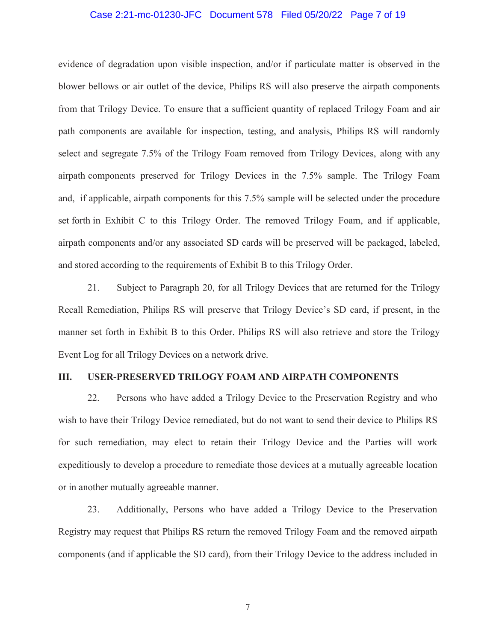### Case 2:21-mc-01230-JFC Document 578 Filed 05/20/22 Page 7 of 19

evidence of degradation upon visible inspection, and/or if particulate matter is observed in the blower bellows or air outlet of the device, Philips RS will also preserve the airpath components from that Trilogy Device. To ensure that a sufficient quantity of replaced Trilogy Foam and air path components are available for inspection, testing, and analysis, Philips RS will randomly select and segregate 7.5% of the Trilogy Foam removed from Trilogy Devices, along with any airpath components preserved for Trilogy Devices in the 7.5% sample. The Trilogy Foam and, if applicable, airpath components for this 7.5% sample will be selected under the procedure set forth in Exhibit C to this Trilogy Order. The removed Trilogy Foam, and if applicable, airpath components and/or any associated SD cards will be preserved will be packaged, labeled, and stored according to the requirements of Exhibit B to this Trilogy Order.

21. Subject to Paragraph 20, for all Trilogy Devices that are returned for the Trilogy Recall Remediation, Philips RS will preserve that Trilogy Device's SD card, if present, in the manner set forth in Exhibit B to this Order. Philips RS will also retrieve and store the Trilogy Event Log for all Trilogy Devices on a network drive.

### **III. USER-PRESERVED TRILOGY FOAM AND AIRPATH COMPONENTS**

22. Persons who have added a Trilogy Device to the Preservation Registry and who wish to have their Trilogy Device remediated, but do not want to send their device to Philips RS for such remediation, may elect to retain their Trilogy Device and the Parties will work expeditiously to develop a procedure to remediate those devices at a mutually agreeable location or in another mutually agreeable manner.

23. Additionally, Persons who have added a Trilogy Device to the Preservation Registry may request that Philips RS return the removed Trilogy Foam and the removed airpath components (and if applicable the SD card), from their Trilogy Device to the address included in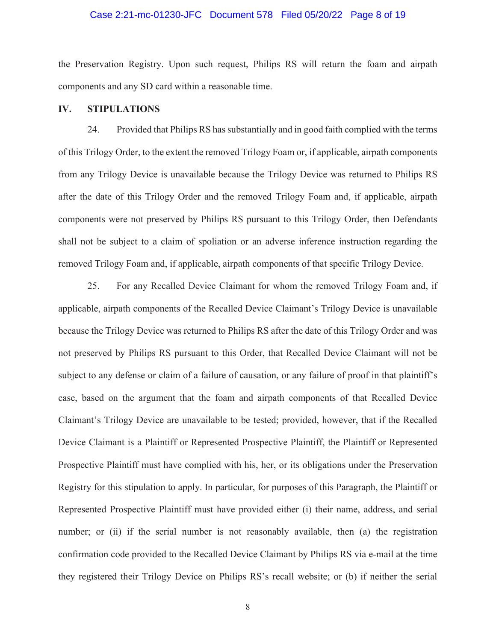### Case 2:21-mc-01230-JFC Document 578 Filed 05/20/22 Page 8 of 19

the Preservation Registry. Upon such request, Philips RS will return the foam and airpath components and any SD card within a reasonable time.

### **IV. STIPULATIONS**

24. Provided that Philips RS has substantially and in good faith complied with the terms of this Trilogy Order, to the extent the removed Trilogy Foam or, if applicable, airpath components from any Trilogy Device is unavailable because the Trilogy Device was returned to Philips RS after the date of this Trilogy Order and the removed Trilogy Foam and, if applicable, airpath components were not preserved by Philips RS pursuant to this Trilogy Order, then Defendants shall not be subject to a claim of spoliation or an adverse inference instruction regarding the removed Trilogy Foam and, if applicable, airpath components of that specific Trilogy Device.

25. For any Recalled Device Claimant for whom the removed Trilogy Foam and, if applicable, airpath components of the Recalled Device Claimant's Trilogy Device is unavailable because the Trilogy Device was returned to Philips RS after the date of this Trilogy Order and was not preserved by Philips RS pursuant to this Order, that Recalled Device Claimant will not be subject to any defense or claim of a failure of causation, or any failure of proof in that plaintiff's case, based on the argument that the foam and airpath components of that Recalled Device Claimant's Trilogy Device are unavailable to be tested; provided, however, that if the Recalled Device Claimant is a Plaintiff or Represented Prospective Plaintiff, the Plaintiff or Represented Prospective Plaintiff must have complied with his, her, or its obligations under the Preservation Registry for this stipulation to apply. In particular, for purposes of this Paragraph, the Plaintiff or Represented Prospective Plaintiff must have provided either (i) their name, address, and serial number; or (ii) if the serial number is not reasonably available, then (a) the registration confirmation code provided to the Recalled Device Claimant by Philips RS via e-mail at the time they registered their Trilogy Device on Philips RS's recall website; or (b) if neither the serial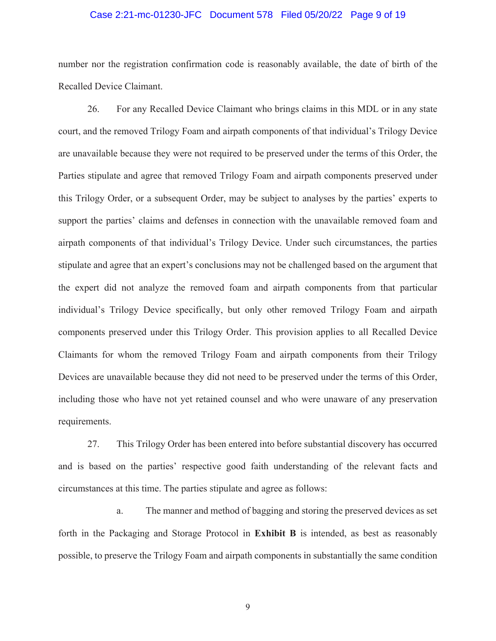### Case 2:21-mc-01230-JFC Document 578 Filed 05/20/22 Page 9 of 19

number nor the registration confirmation code is reasonably available, the date of birth of the Recalled Device Claimant.

26. For any Recalled Device Claimant who brings claims in this MDL or in any state court, and the removed Trilogy Foam and airpath components of that individual's Trilogy Device are unavailable because they were not required to be preserved under the terms of this Order, the Parties stipulate and agree that removed Trilogy Foam and airpath components preserved under this Trilogy Order, or a subsequent Order, may be subject to analyses by the parties' experts to support the parties' claims and defenses in connection with the unavailable removed foam and airpath components of that individual's Trilogy Device. Under such circumstances, the parties stipulate and agree that an expert's conclusions may not be challenged based on the argument that the expert did not analyze the removed foam and airpath components from that particular individual's Trilogy Device specifically, but only other removed Trilogy Foam and airpath components preserved under this Trilogy Order. This provision applies to all Recalled Device Claimants for whom the removed Trilogy Foam and airpath components from their Trilogy Devices are unavailable because they did not need to be preserved under the terms of this Order, including those who have not yet retained counsel and who were unaware of any preservation requirements.

27. This Trilogy Order has been entered into before substantial discovery has occurred and is based on the parties' respective good faith understanding of the relevant facts and circumstances at this time. The parties stipulate and agree as follows:

a. The manner and method of bagging and storing the preserved devices as set forth in the Packaging and Storage Protocol in **Exhibit B** is intended, as best as reasonably possible, to preserve the Trilogy Foam and airpath components in substantially the same condition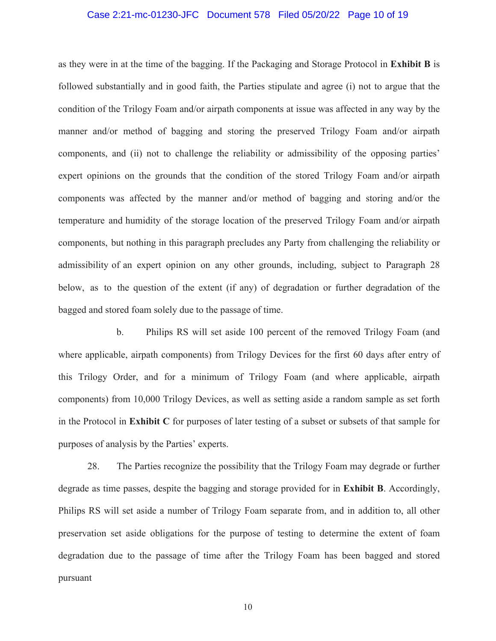### Case 2:21-mc-01230-JFC Document 578 Filed 05/20/22 Page 10 of 19

as they were in at the time of the bagging. If the Packaging and Storage Protocol in **Exhibit B** is followed substantially and in good faith, the Parties stipulate and agree (i) not to argue that the condition of the Trilogy Foam and/or airpath components at issue was affected in any way by the manner and/or method of bagging and storing the preserved Trilogy Foam and/or airpath components, and (ii) not to challenge the reliability or admissibility of the opposing parties' expert opinions on the grounds that the condition of the stored Trilogy Foam and/or airpath components was affected by the manner and/or method of bagging and storing and/or the temperature and humidity of the storage location of the preserved Trilogy Foam and/or airpath components, but nothing in this paragraph precludes any Party from challenging the reliability or admissibility of an expert opinion on any other grounds, including, subject to Paragraph 28 below, as to the question of the extent (if any) of degradation or further degradation of the bagged and stored foam solely due to the passage of time.

b. Philips RS will set aside 100 percent of the removed Trilogy Foam (and where applicable, airpath components) from Trilogy Devices for the first 60 days after entry of this Trilogy Order, and for a minimum of Trilogy Foam (and where applicable, airpath components) from 10,000 Trilogy Devices, as well as setting aside a random sample as set forth in the Protocol in **Exhibit C** for purposes of later testing of a subset or subsets of that sample for purposes of analysis by the Parties' experts.

28. The Parties recognize the possibility that the Trilogy Foam may degrade or further degrade as time passes, despite the bagging and storage provided for in **Exhibit B**. Accordingly, Philips RS will set aside a number of Trilogy Foam separate from, and in addition to, all other preservation set aside obligations for the purpose of testing to determine the extent of foam degradation due to the passage of time after the Trilogy Foam has been bagged and stored pursuant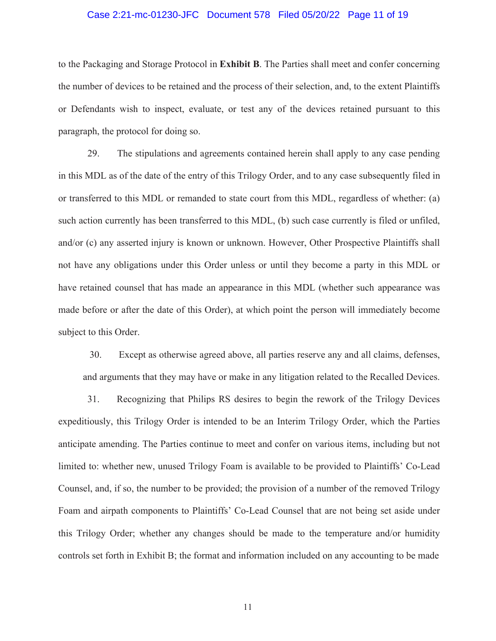### Case 2:21-mc-01230-JFC Document 578 Filed 05/20/22 Page 11 of 19

to the Packaging and Storage Protocol in **Exhibit B**. The Parties shall meet and confer concerning the number of devices to be retained and the process of their selection, and, to the extent Plaintiffs or Defendants wish to inspect, evaluate, or test any of the devices retained pursuant to this paragraph, the protocol for doing so.

29. The stipulations and agreements contained herein shall apply to any case pending in this MDL as of the date of the entry of this Trilogy Order, and to any case subsequently filed in or transferred to this MDL or remanded to state court from this MDL, regardless of whether: (a) such action currently has been transferred to this MDL, (b) such case currently is filed or unfiled, and/or (c) any asserted injury is known or unknown. However, Other Prospective Plaintiffs shall not have any obligations under this Order unless or until they become a party in this MDL or have retained counsel that has made an appearance in this MDL (whether such appearance was made before or after the date of this Order), at which point the person will immediately become subject to this Order.

30. Except as otherwise agreed above, all parties reserve any and all claims, defenses, and arguments that they may have or make in any litigation related to the Recalled Devices.

31. Recognizing that Philips RS desires to begin the rework of the Trilogy Devices expeditiously, this Trilogy Order is intended to be an Interim Trilogy Order, which the Parties anticipate amending. The Parties continue to meet and confer on various items, including but not limited to: whether new, unused Trilogy Foam is available to be provided to Plaintiffs' Co-Lead Counsel, and, if so, the number to be provided; the provision of a number of the removed Trilogy Foam and airpath components to Plaintiffs' Co-Lead Counsel that are not being set aside under this Trilogy Order; whether any changes should be made to the temperature and/or humidity controls set forth in Exhibit B; the format and information included on any accounting to be made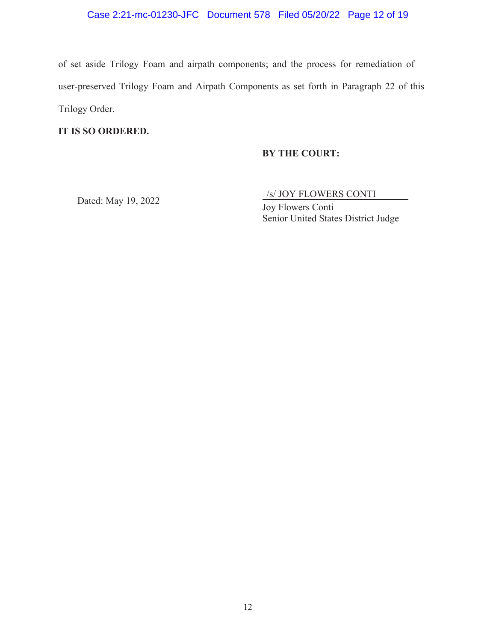# Case 2:21-mc-01230-JFC Document 578 Filed 05/20/22 Page 12 of 19

of set aside Trilogy Foam and airpath components; and the process for remediation of user-preserved Trilogy Foam and Airpath Components as set forth in Paragraph 22 of this Trilogy Order.

## **IT IS SO ORDERED.**

## **BY THE COURT:**

Dated: May 19, 2022  $\frac{\sqrt{s}}{1-\Gamma^1}$  C is the CONTI

Joy Flowers Conti Senior United States District Judge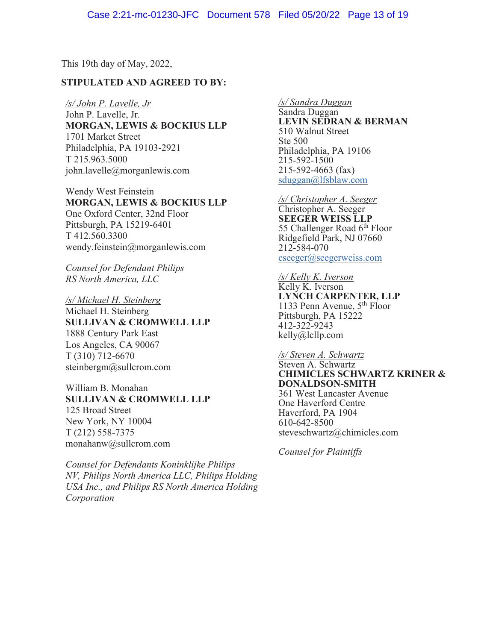This 19th day of May, 2022,

## **STIPULATED AND AGREED TO BY:**

*/s/ John P. Lavelle, Jr*  John P. Lavelle, Jr. **MORGAN, LEWIS & BOCKIUS LLP**  1701 Market Street Philadelphia, PA 19103-2921 T 215.963.5000 john.lavelle@morganlewis.com

Wendy West Feinstein **MORGAN, LEWIS & BOCKIUS LLP**  One Oxford Center, 32nd Floor Pittsburgh, PA 15219-6401 T 412.560.3300 wendy.feinstein@morganlewis.com

*Counsel for Defendant Philips RS North America, LLC* 

*/s/ Michael H. Steinberg*  Michael H. Steinberg **SULLIVAN & CROMWELL LLP**  1888 Century Park East Los Angeles, CA 90067 T (310) 712-6670 steinbergm@sullcrom.com

William B. Monahan **SULLIVAN & CROMWELL LLP**  125 Broad Street New York, NY 10004 T (212) 558-7375 monahanw@sullcrom.com

*Counsel for Defendants Koninklijke Philips NV, Philips North America LLC, Philips Holding USA Inc., and Philips RS North America Holding Corporation*

#### */s/ Sandra Duggan*

Sandra Duggan **LEVIN SEDRAN & BERMAN**  510 Walnut Street Ste 500 Philadelphia, PA 19106 215-592-1500 215-592-4663 (fax) sduggan@lfsblaw.com

*/s/ Christopher A. Seeger*  Christopher A. Seeger **SEEGER WEISS LLP**  55 Challenger Road  $6<sup>th</sup>$  Floor Ridgefield Park, NJ 07660 212-584-070 cseeger@seegerweiss.com

*/s/ Kelly K. Iverson*  Kelly K. Iverson **LYNCH CARPENTER, LLP**  1133 Penn Avenue, 5th Floor Pittsburgh, PA 15222 412-322-9243 kelly@lcllp.com

#### */s/ Steven A. Schwartz*

## Steven A. Schwartz **CHIMICLES SCHWARTZ KRINER & DONALDSON-SMITH**  361 West Lancaster Avenue One Haverford Centre

Haverford, PA 1904 610-642-8500 steveschwartz@chimicles.com

*Counsel for Plaintiffs*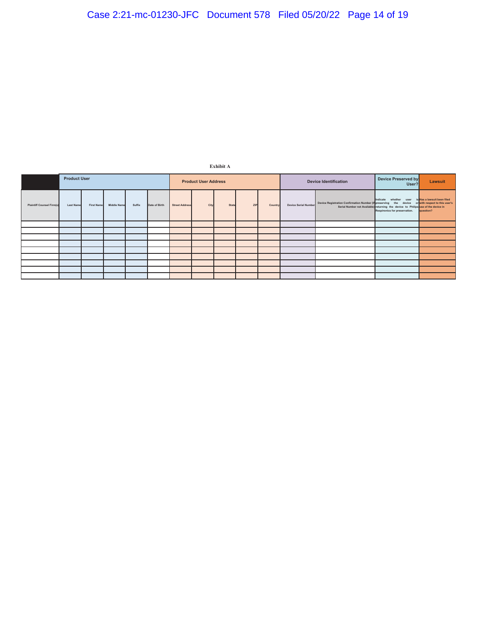**Exhibit A**

|                                  | <b>Product User</b> |                   |                    |        |               | <b>Product User Address</b> |      |              |            |         | <b>Device Identification</b> |                                                                                                                       | Device Preserved by<br>User?                                                                                                                | Lawsuit                                  |
|----------------------------------|---------------------|-------------------|--------------------|--------|---------------|-----------------------------|------|--------------|------------|---------|------------------------------|-----------------------------------------------------------------------------------------------------------------------|---------------------------------------------------------------------------------------------------------------------------------------------|------------------------------------------|
| <b>Plaintiff Counsel Firm(s)</b> | <b>Last Name</b>    | <b>First Name</b> | <b>Middle Name</b> | Suffix | Date of Birth | <b>Street Address</b>       | City | <b>State</b> | <b>ZIP</b> | Country |                              | Device Serial Number Device Registration Confirmation Number (If preserving the device or with respect to this user's | Indicate whether user<br>Serial Number not Available) returning the device to Philips use of the device in<br>Respironics for preservation. | is Has a lawsuit been filed<br>question? |
|                                  |                     |                   |                    |        |               |                             |      |              |            |         |                              |                                                                                                                       |                                                                                                                                             |                                          |
|                                  |                     |                   |                    |        |               |                             |      |              |            |         |                              |                                                                                                                       |                                                                                                                                             |                                          |
|                                  |                     |                   |                    |        |               |                             |      |              |            |         |                              |                                                                                                                       |                                                                                                                                             |                                          |
|                                  |                     |                   |                    |        |               |                             |      |              |            |         |                              |                                                                                                                       |                                                                                                                                             |                                          |
|                                  |                     |                   |                    |        |               |                             |      |              |            |         |                              |                                                                                                                       |                                                                                                                                             |                                          |
|                                  |                     |                   |                    |        |               |                             |      |              |            |         |                              |                                                                                                                       |                                                                                                                                             |                                          |
|                                  |                     |                   |                    |        |               |                             |      |              |            |         |                              |                                                                                                                       |                                                                                                                                             |                                          |
|                                  |                     |                   |                    |        |               |                             |      |              |            |         |                              |                                                                                                                       |                                                                                                                                             |                                          |
|                                  |                     |                   |                    |        |               |                             |      |              |            |         |                              |                                                                                                                       |                                                                                                                                             |                                          |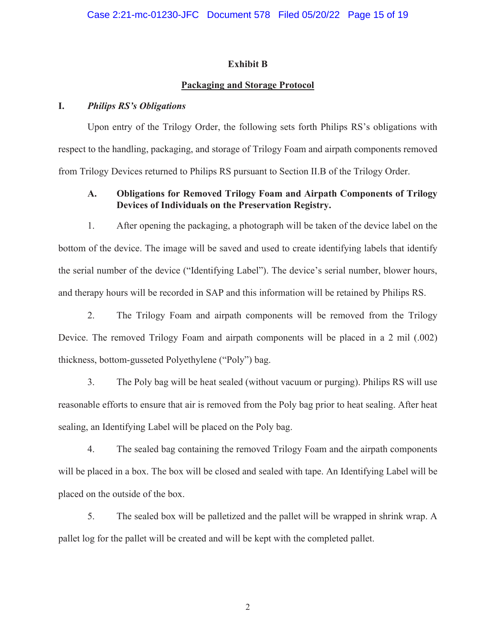## **Exhibit B**

## **Packaging and Storage Protocol**

## **I.** *Philips RS's Obligations*

Upon entry of the Trilogy Order, the following sets forth Philips RS's obligations with respect to the handling, packaging, and storage of Trilogy Foam and airpath components removed from Trilogy Devices returned to Philips RS pursuant to Section II.B of the Trilogy Order.

# **A. Obligations for Removed Trilogy Foam and Airpath Components of Trilogy Devices of Individuals on the Preservation Registry.**

1. After opening the packaging, a photograph will be taken of the device label on the bottom of the device. The image will be saved and used to create identifying labels that identify the serial number of the device ("Identifying Label"). The device's serial number, blower hours, and therapy hours will be recorded in SAP and this information will be retained by Philips RS.

2. The Trilogy Foam and airpath components will be removed from the Trilogy Device. The removed Trilogy Foam and airpath components will be placed in a 2 mil (.002) thickness, bottom-gusseted Polyethylene ("Poly") bag.

3. The Poly bag will be heat sealed (without vacuum or purging). Philips RS will use reasonable efforts to ensure that air is removed from the Poly bag prior to heat sealing. After heat sealing, an Identifying Label will be placed on the Poly bag.

4. The sealed bag containing the removed Trilogy Foam and the airpath components will be placed in a box. The box will be closed and sealed with tape. An Identifying Label will be placed on the outside of the box.

5. The sealed box will be palletized and the pallet will be wrapped in shrink wrap. A pallet log for the pallet will be created and will be kept with the completed pallet.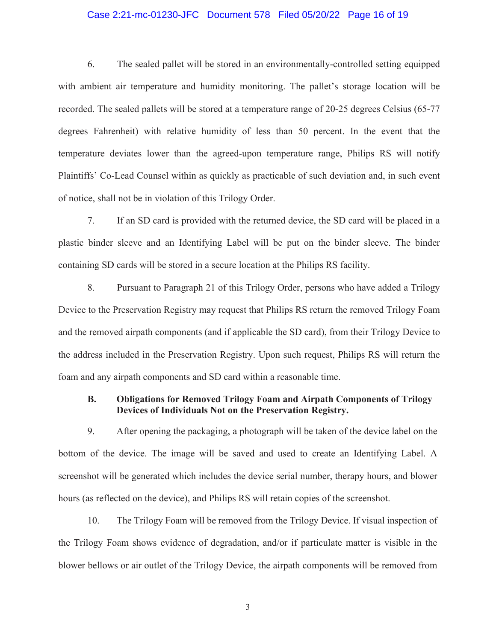### Case 2:21-mc-01230-JFC Document 578 Filed 05/20/22 Page 16 of 19

6. The sealed pallet will be stored in an environmentally-controlled setting equipped with ambient air temperature and humidity monitoring. The pallet's storage location will be recorded. The sealed pallets will be stored at a temperature range of 20-25 degrees Celsius (65-77 degrees Fahrenheit) with relative humidity of less than 50 percent. In the event that the temperature deviates lower than the agreed-upon temperature range, Philips RS will notify Plaintiffs' Co-Lead Counsel within as quickly as practicable of such deviation and, in such event of notice, shall not be in violation of this Trilogy Order.

7. If an SD card is provided with the returned device, the SD card will be placed in a plastic binder sleeve and an Identifying Label will be put on the binder sleeve. The binder containing SD cards will be stored in a secure location at the Philips RS facility.

8. Pursuant to Paragraph 21 of this Trilogy Order, persons who have added a Trilogy Device to the Preservation Registry may request that Philips RS return the removed Trilogy Foam and the removed airpath components (and if applicable the SD card), from their Trilogy Device to the address included in the Preservation Registry. Upon such request, Philips RS will return the foam and any airpath components and SD card within a reasonable time.

## **B. Obligations for Removed Trilogy Foam and Airpath Components of Trilogy Devices of Individuals Not on the Preservation Registry.**

9. After opening the packaging, a photograph will be taken of the device label on the bottom of the device. The image will be saved and used to create an Identifying Label. A screenshot will be generated which includes the device serial number, therapy hours, and blower hours (as reflected on the device), and Philips RS will retain copies of the screenshot.

10. The Trilogy Foam will be removed from the Trilogy Device. If visual inspection of the Trilogy Foam shows evidence of degradation, and/or if particulate matter is visible in the blower bellows or air outlet of the Trilogy Device, the airpath components will be removed from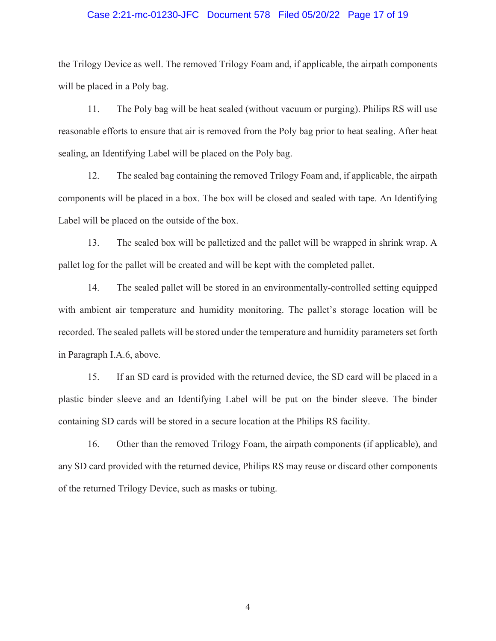### Case 2:21-mc-01230-JFC Document 578 Filed 05/20/22 Page 17 of 19

the Trilogy Device as well. The removed Trilogy Foam and, if applicable, the airpath components will be placed in a Poly bag.

11. The Poly bag will be heat sealed (without vacuum or purging). Philips RS will use reasonable efforts to ensure that air is removed from the Poly bag prior to heat sealing. After heat sealing, an Identifying Label will be placed on the Poly bag.

12. The sealed bag containing the removed Trilogy Foam and, if applicable, the airpath components will be placed in a box. The box will be closed and sealed with tape. An Identifying Label will be placed on the outside of the box.

13. The sealed box will be palletized and the pallet will be wrapped in shrink wrap. A pallet log for the pallet will be created and will be kept with the completed pallet.

14. The sealed pallet will be stored in an environmentally-controlled setting equipped with ambient air temperature and humidity monitoring. The pallet's storage location will be recorded. The sealed pallets will be stored under the temperature and humidity parameters set forth in Paragraph I.A.6, above.

15. If an SD card is provided with the returned device, the SD card will be placed in a plastic binder sleeve and an Identifying Label will be put on the binder sleeve. The binder containing SD cards will be stored in a secure location at the Philips RS facility.

16. Other than the removed Trilogy Foam, the airpath components (if applicable), and any SD card provided with the returned device, Philips RS may reuse or discard other components of the returned Trilogy Device, such as masks or tubing.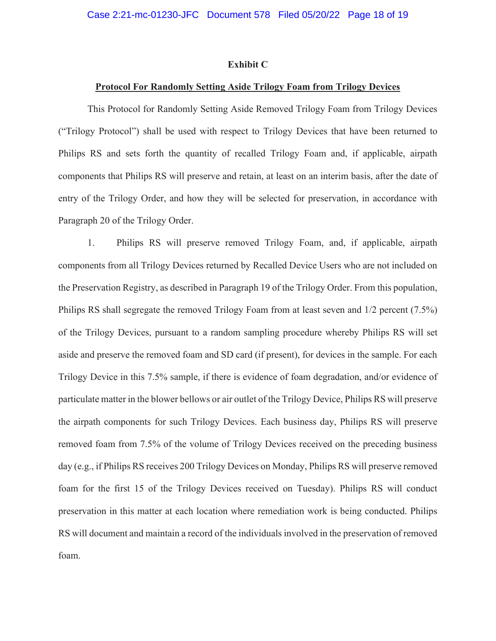#### **Exhibit C**

#### **Protocol For Randomly Setting Aside Trilogy Foam from Trilogy Devices**

This Protocol for Randomly Setting Aside Removed Trilogy Foam from Trilogy Devices ("Trilogy Protocol") shall be used with respect to Trilogy Devices that have been returned to Philips RS and sets forth the quantity of recalled Trilogy Foam and, if applicable, airpath components that Philips RS will preserve and retain, at least on an interim basis, after the date of entry of the Trilogy Order, and how they will be selected for preservation, in accordance with Paragraph 20 of the Trilogy Order.

1. Philips RS will preserve removed Trilogy Foam, and, if applicable, airpath components from all Trilogy Devices returned by Recalled Device Users who are not included on the Preservation Registry, as described in Paragraph 19 of the Trilogy Order. From this population, Philips RS shall segregate the removed Trilogy Foam from at least seven and 1/2 percent (7.5%) of the Trilogy Devices, pursuant to a random sampling procedure whereby Philips RS will set aside and preserve the removed foam and SD card (if present), for devices in the sample. For each Trilogy Device in this 7.5% sample, if there is evidence of foam degradation, and/or evidence of particulate matter in the blower bellows or air outlet of the Trilogy Device, Philips RS will preserve the airpath components for such Trilogy Devices. Each business day, Philips RS will preserve removed foam from 7.5% of the volume of Trilogy Devices received on the preceding business day (e.g., if Philips RS receives 200 Trilogy Devices on Monday, Philips RS will preserve removed foam for the first 15 of the Trilogy Devices received on Tuesday). Philips RS will conduct preservation in this matter at each location where remediation work is being conducted. Philips RS will document and maintain a record of the individuals involved in the preservation of removed foam.